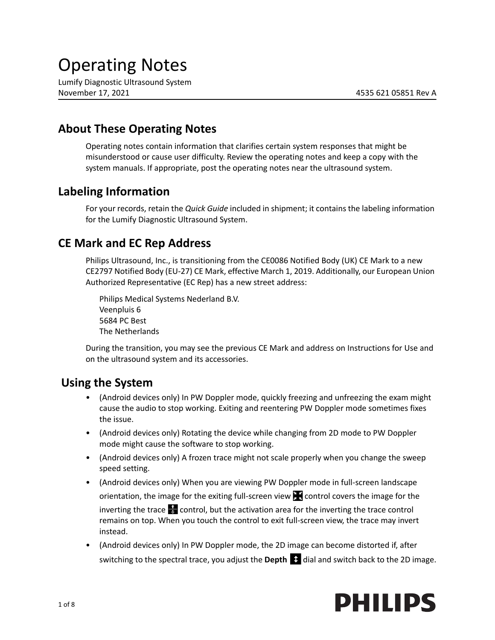# Operating Notes

Lumify Diagnostic Ultrasound System November 17, 2021 4535 621 05851 Rev A

# **About These Operating Notes**

Operating notes contain information that clarifies certain system responses that might be misunderstood or cause user difficulty. Review the operating notes and keep a copy with the system manuals. If appropriate, post the operating notes near the ultrasound system.

# **Labeling Information**

For your records, retain the *Quick Guide* included in shipment; it contains the labeling information for the Lumify Diagnostic Ultrasound System.

# **CE Mark and EC Rep Address**

Philips Ultrasound, Inc., is transitioning from the CE0086 Notified Body (UK) CE Mark to a new CE2797 Notified Body (EU‐27) CE Mark, effective March 1, 2019. Additionally, our European Union Authorized Representative (EC Rep) has a new street address:

Philips Medical Systems Nederland B.V. Veenpluis 6 5684 PC Best The Netherlands

During the transition, you may see the previous CE Mark and address on Instructions for Use and on the ultrasound system and its accessories.

# **Using the System**

- (Android devices only) In PW Doppler mode, quickly freezing and unfreezing the exam might cause the audio to stop working. Exiting and reentering PW Doppler mode sometimes fixes the issue.
- (Android devices only) Rotating the device while changing from 2D mode to PW Doppler mode might cause the software to stop working.
- (Android devices only) A frozen trace might not scale properly when you change the sweep speed setting.
- (Android devices only) When you are viewing PW Doppler mode in full-screen landscape orientation, the image for the exiting full-screen view  $\blacksquare$  control covers the image for the inverting the trace  $\frac{1}{\sqrt{2}}$  control, but the activation area for the inverting the trace control remains on top. When you touch the control to exit full‐screen view, the trace may invert instead.
- (Android devices only) In PW Doppler mode, the 2D image can become distorted if, after switching to the spectral trace, you adjust the **Depth**  $\bullet$  dial and switch back to the 2D image.

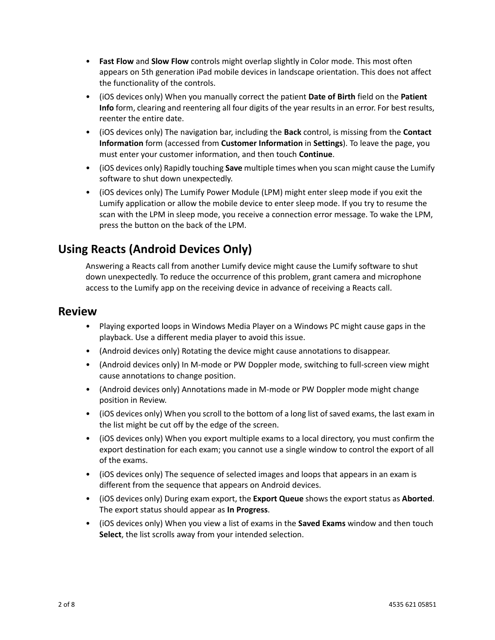- **Fast Flow** and **Slow Flow** controls might overlap slightly in Color mode. This most often appears on 5th generation iPad mobile devices in landscape orientation. This does not affect the functionality of the controls.
- (iOS devices only) When you manually correct the patient **Date of Birth** field on the **Patient Info** form, clearing and reentering all four digits of the year results in an error. For best results, reenter the entire date.
- (iOS devices only) The navigation bar, including the **Back** control, is missing from the **Contact Information** form (accessed from **Customer Information** in **Settings**). To leave the page, you must enter your customer information, and then touch **Continue**.
- (iOS devices only) Rapidly touching **Save** multiple times when you scan might cause the Lumify software to shut down unexpectedly.
- (iOS devices only) The Lumify Power Module (LPM) might enter sleep mode if you exit the Lumify application or allow the mobile device to enter sleep mode. If you try to resume the scan with the LPM in sleep mode, you receive a connection error message. To wake the LPM, press the button on the back of the LPM.

# **Using Reacts (Android Devices Only)**

Answering a Reacts call from another Lumify device might cause the Lumify software to shut down unexpectedly. To reduce the occurrence of this problem, grant camera and microphone access to the Lumify app on the receiving device in advance of receiving a Reacts call.

# **Review**

- Playing exported loops in Windows Media Player on a Windows PC might cause gaps in the playback. Use a different media player to avoid this issue.
- (Android devices only) Rotating the device might cause annotations to disappear.
- (Android devices only) In M-mode or PW Doppler mode, switching to full-screen view might cause annotations to change position.
- (Android devices only) Annotations made in M‐mode or PW Doppler mode might change position in Review.
- (iOS devices only) When you scroll to the bottom of a long list of saved exams, the last exam in the list might be cut off by the edge of the screen.
- (iOS devices only) When you export multiple exams to a local directory, you must confirm the export destination for each exam; you cannot use a single window to control the export of all of the exams.
- (iOS devices only) The sequence of selected images and loops that appears in an exam is different from the sequence that appears on Android devices.
- (iOS devices only) During exam export, the **Export Queue** shows the export status as **Aborted**. The export status should appear as **In Progress**.
- (iOS devices only) When you view a list of exams in the **Saved Exams** window and then touch **Select**, the list scrolls away from your intended selection.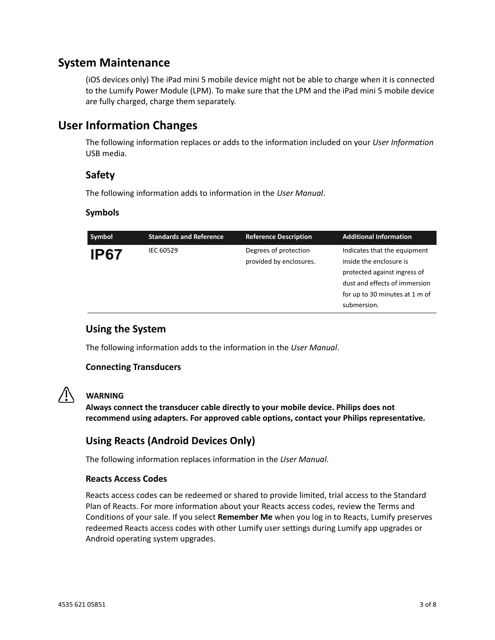# **System Maintenance**

(iOS devices only) The iPad mini 5 mobile device might not be able to charge when it is connected to the Lumify Power Module (LPM). To make sure that the LPM and the iPad mini 5 mobile device are fully charged, charge them separately.

# **User Information Changes**

The following information replaces or adds to the information included on your *User Information* USB media.

## **Safety**

The following information adds to information in the *User Manual*.

### **Symbols**

| Degrees of protection<br>Indicates that the equipment<br>IEC 60529<br><b>IP67</b><br>provided by enclosures.<br>inside the enclosure is<br>protected against ingress of<br>dust and effects of immersion<br>for up to 30 minutes at 1 m of<br>submersion. | Symbol | <b>Standards and Reference</b> | <b>Reference Description</b> | <b>Additional Information</b> |
|-----------------------------------------------------------------------------------------------------------------------------------------------------------------------------------------------------------------------------------------------------------|--------|--------------------------------|------------------------------|-------------------------------|
|                                                                                                                                                                                                                                                           |        |                                |                              |                               |

## **Using the System**

The following information adds to the information in the *User Manual*.

#### **Connecting Transducers**



### **WARNING**

**Always connect the transducer cable directly to your mobile device. Philips does not recommend using adapters. For approved cable options, contact your Philips representative.**

## **Using Reacts (Android Devices Only)**

The following information replaces information in the *User Manual*.

#### **Reacts Access Codes**

Reacts access codes can be redeemed or shared to provide limited, trial access to the Standard Plan of Reacts. For more information about your Reacts access codes, review the Terms and Conditions of your sale. If you select **Remember Me** when you log in to Reacts, Lumify preserves redeemed Reacts access codes with other Lumify user settings during Lumify app upgrades or Android operating system upgrades.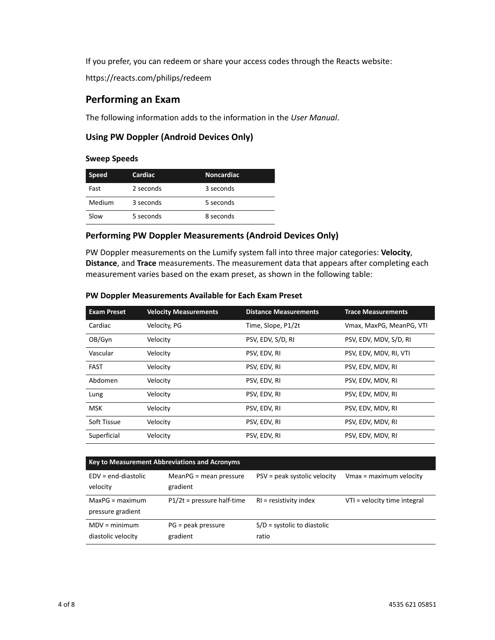If you prefer, you can redeem or share your access codes through the Reacts website:

https://reacts.com/philips/redeem

# **Performing an Exam**

The following information adds to the information in the *User Manual*.

### **Using PW Doppler (Android Devices Only)**

#### **Sweep Speeds**

| <b>Speed</b> | Cardiac   | <b>Noncardiac</b> |
|--------------|-----------|-------------------|
| Fast         | 2 seconds | 3 seconds         |
| Medium       | 3 seconds | 5 seconds         |
| Slow         | 5 seconds | 8 seconds         |

### **Performing PW Doppler Measurements (Android Devices Only)**

PW Doppler measurements on the Lumify system fall into three major categories: **Velocity**, **Distance**, and **Trace** measurements. The measurement data that appears after completing each measurement varies based on the exam preset, as shown in the following table:

#### **PW Doppler Measurements Available for Each Exam Preset**

| <b>Exam Preset</b> | <b>Velocity Measurements</b> | <b>Distance Measurements</b> | <b>Trace Measurements</b> |
|--------------------|------------------------------|------------------------------|---------------------------|
| Cardiac            | Velocity, PG                 | Time, Slope, P1/2t           | Vmax, MaxPG, MeanPG, VTI  |
| OB/Gyn             | Velocity                     | PSV, EDV, S/D, RI            | PSV, EDV, MDV, S/D, RI    |
| Vascular           | Velocity                     | PSV, EDV, RI                 | PSV, EDV, MDV, RI, VTI    |
| <b>FAST</b>        | Velocity                     | PSV, EDV, RI                 | PSV, EDV, MDV, RI         |
| Abdomen            | Velocity                     | PSV, EDV, RI                 | PSV, EDV, MDV, RI         |
| Lung               | Velocity                     | PSV, EDV, RI                 | PSV, EDV, MDV, RI         |
| <b>MSK</b>         | Velocity                     | PSV, EDV, RI                 | PSV, EDV, MDV, RI         |
| Soft Tissue        | Velocity                     | PSV, EDV, RI                 | PSV, EDV, MDV, RI         |
| Superficial        | Velocity                     | PSV, EDV, RI                 | PSV, EDV, MDV, RI         |

| <b>Key to Measurement Abbreviations and Acronyms</b> |                                      |                                        |                              |  |  |  |
|------------------------------------------------------|--------------------------------------|----------------------------------------|------------------------------|--|--|--|
| $EDV = end-diastolic$<br>velocity                    | $MeanPG = mean pressure$<br>gradient | PSV = peak systolic velocity           | Vmax = maximum velocity      |  |  |  |
| $MaxPG = maximum$<br>pressure gradient               | $P1/2t = pressure$ half-time         | $RI = resistivity$ index               | VTI = velocity time integral |  |  |  |
| $MDV = minimum$<br>diastolic velocity                | $PG = peak pressure$<br>gradient     | $S/D$ = systolic to diastolic<br>ratio |                              |  |  |  |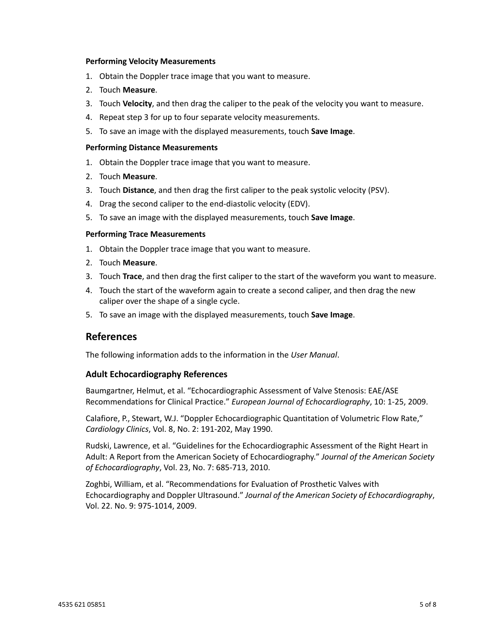#### **Performing Velocity Measurements**

- 1. Obtain the Doppler trace image that you want to measure.
- 2. Touch **Measure**.
- 3. Touch **Velocity**, and then drag the caliper to the peak of the velocity you want to measure.
- 4. Repeat step 3 for up to four separate velocity measurements.
- 5. To save an image with the displayed measurements, touch **Save Image**.

#### **Performing Distance Measurements**

- 1. Obtain the Doppler trace image that you want to measure.
- 2. Touch **Measure**.
- 3. Touch **Distance**, and then drag the first caliper to the peak systolic velocity (PSV).
- 4. Drag the second caliper to the end‐diastolic velocity (EDV).
- 5. To save an image with the displayed measurements, touch **Save Image**.

#### **Performing Trace Measurements**

- 1. Obtain the Doppler trace image that you want to measure.
- 2. Touch **Measure**.
- 3. Touch **Trace**, and then drag the first caliper to the start of the waveform you want to measure.
- 4. Touch the start of the waveform again to create a second caliper, and then drag the new caliper over the shape of a single cycle.
- 5. To save an image with the displayed measurements, touch **Save Image**.

### **References**

The following information adds to the information in the *User Manual*.

#### **Adult Echocardiography References**

Baumgartner, Helmut, et al. "Echocardiographic Assessment of Valve Stenosis: EAE/ASE Recommendations for Clinical Practice." *European Journal of Echocardiography*, 10: 1‐25, 2009.

Calafiore, P., Stewart, W.J. "Doppler Echocardiographic Quantitation of Volumetric Flow Rate," *Cardiology Clinics*, Vol. 8, No. 2: 191‐202, May 1990.

Rudski, Lawrence, et al. "Guidelines for the Echocardiographic Assessment of the Right Heart in Adult: A Report from the American Society of Echocardiography." *Journal of the American Society of Echocardiography*, Vol. 23, No. 7: 685‐713, 2010.

Zoghbi, William, et al. "Recommendations for Evaluation of Prosthetic Valves with Echocardiography and Doppler Ultrasound." *Journal of the American Society of Echocardiography*, Vol. 22. No. 9: 975‐1014, 2009.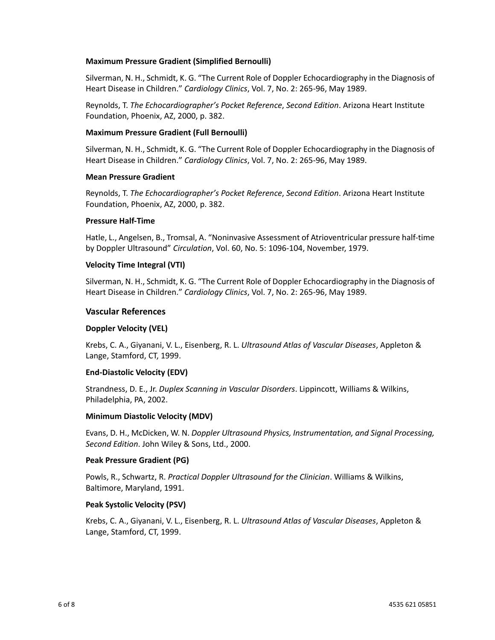#### **Maximum Pressure Gradient (Simplified Bernoulli)**

Silverman, N. H., Schmidt, K. G. "The Current Role of Doppler Echocardiography in the Diagnosis of Heart Disease in Children." *Cardiology Clinics*, Vol. 7, No. 2: 265‐96, May 1989.

Reynolds, T. *The Echocardiographer's Pocket Reference*, *Second Edition*. Arizona Heart Institute Foundation, Phoenix, AZ, 2000, p. 382.

#### **Maximum Pressure Gradient (Full Bernoulli)**

Silverman, N. H., Schmidt, K. G. "The Current Role of Doppler Echocardiography in the Diagnosis of Heart Disease in Children." *Cardiology Clinics*, Vol. 7, No. 2: 265‐96, May 1989.

#### **Mean Pressure Gradient**

Reynolds, T. *The Echocardiographer's Pocket Reference*, *Second Edition*. Arizona Heart Institute Foundation, Phoenix, AZ, 2000, p. 382.

#### **Pressure Half-Time**

Hatle, L., Angelsen, B., Tromsal, A. "Noninvasive Assessment of Atrioventricular pressure half‐time by Doppler Ultrasound" *Circulation*, Vol. 60, No. 5: 1096‐104, November, 1979.

#### **Velocity Time Integral (VTI)**

Silverman, N. H., Schmidt, K. G. "The Current Role of Doppler Echocardiography in the Diagnosis of Heart Disease in Children." *Cardiology Clinics*, Vol. 7, No. 2: 265‐96, May 1989.

#### **Vascular References**

#### **Doppler Velocity (VEL)**

Krebs, C. A., Giyanani, V. L., Eisenberg, R. L. *Ultrasound Atlas of Vascular Diseases*, Appleton & Lange, Stamford, CT, 1999.

#### **End-Diastolic Velocity (EDV)**

Strandness, D. E., Jr. *Duplex Scanning in Vascular Disorders*. Lippincott, Williams & Wilkins, Philadelphia, PA, 2002.

#### **Minimum Diastolic Velocity (MDV)**

Evans, D. H., McDicken, W. N. *Doppler Ultrasound Physics, Instrumentation, and Signal Processing, Second Edition*. John Wiley & Sons, Ltd., 2000.

#### **Peak Pressure Gradient (PG)**

Powls, R., Schwartz, R. *Practical Doppler Ultrasound for the Clinician*. Williams & Wilkins, Baltimore, Maryland, 1991.

#### **Peak Systolic Velocity (PSV)**

Krebs, C. A., Giyanani, V. L., Eisenberg, R. L. *Ultrasound Atlas of Vascular Diseases*, Appleton & Lange, Stamford, CT, 1999.